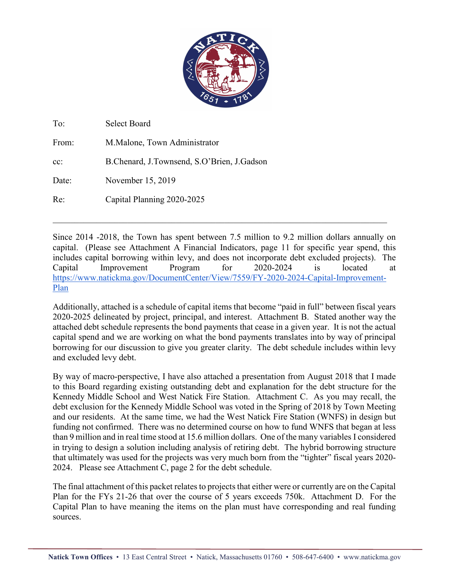

| To:    | <b>Select Board</b>                        |
|--------|--------------------------------------------|
| From:  | M.Malone, Town Administrator               |
| $cc$ : | B.Chenard, J.Townsend, S.O'Brien, J.Gadson |
| Date:  | November 15, 2019                          |
| Re:    | Capital Planning 2020-2025                 |

Since 2014 -2018, the Town has spent between 7.5 million to 9.2 million dollars annually on capital. (Please see Attachment A Financial Indicators, page 11 for specific year spend, this includes capital borrowing within levy, and does not incorporate debt excluded projects). The Capital Improvement Program for 2020-2024 is located at https://www.natickma.gov/DocumentCenter/View/7559/FY-2020-2024-Capital-Improvement-Plan

\_\_\_\_\_\_\_\_\_\_\_\_\_\_\_\_\_\_\_\_\_\_\_\_\_\_\_\_\_\_\_\_\_\_\_\_\_\_\_\_\_\_\_\_\_\_\_\_\_\_\_\_\_\_\_\_\_\_\_\_\_\_\_\_\_\_\_\_\_\_\_\_\_\_\_\_

Additionally, attached is a schedule of capital items that become "paid in full" between fiscal years 2020-2025 delineated by project, principal, and interest. Attachment B. Stated another way the attached debt schedule represents the bond payments that cease in a given year. It is not the actual capital spend and we are working on what the bond payments translates into by way of principal borrowing for our discussion to give you greater clarity. The debt schedule includes within levy and excluded levy debt.

By way of macro-perspective, I have also attached a presentation from August 2018 that I made to this Board regarding existing outstanding debt and explanation for the debt structure for the Kennedy Middle School and West Natick Fire Station. Attachment C. As you may recall, the debt exclusion for the Kennedy Middle School was voted in the Spring of 2018 by Town Meeting and our residents. At the same time, we had the West Natick Fire Station (WNFS) in design but funding not confirmed. There was no determined course on how to fund WNFS that began at less than 9 million and in real time stood at 15.6 million dollars. One of the many variables I considered in trying to design a solution including analysis of retiring debt. The hybrid borrowing structure that ultimately was used for the projects was very much born from the "tighter" fiscal years 2020- 2024. Please see Attachment C, page 2 for the debt schedule.

The final attachment of this packet relates to projects that either were or currently are on the Capital Plan for the FYs 21-26 that over the course of 5 years exceeds 750k. Attachment D. For the Capital Plan to have meaning the items on the plan must have corresponding and real funding sources.